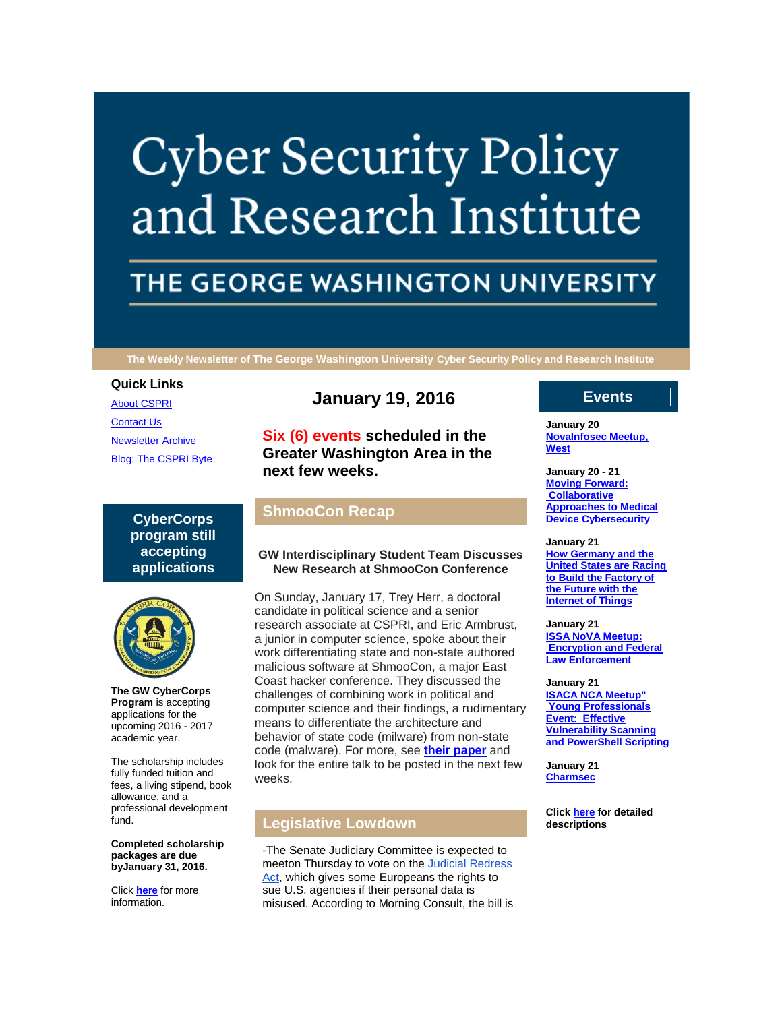# **Cyber Security Policy** and Research Institute

## THE GEORGE WASHINGTON UNIVERSITY

**The Weekly Newsletter of The George Washington University Cyber Security Policy and Research Institute**

#### **Quick Links**

[About CSPRI](http://r20.rs6.net/tn.jsp?f=001MkV8x5XEqCAdKy9ZyoSbeHU18CbYo8k1S6MBHrYnw67OzHOUEfqosHyobY8hVx6YvPV6zhYOy3dIWhBWWkpGYtCSq5OvIYvtx8ui-_tLwWmnZudXtAligVZLQKO7Z-lpYux2M_-Kasn224VG2HIZEQqqG5_uIZobsfOk1bB5vXsssbhMaO_A-JWGnx_qvw95&c=8Vw1Se0x3Y57YFOiU7XlXtpps-i5MuNt2qeqSxmYg5Dp-acRO8sjMg==&ch=_joX3DyPGApIMR6jgbPfVvfup6p54tb3_jDTen51_RrvBCBWgYZEyQ==) [Contact Us](http://r20.rs6.net/tn.jsp?f=001MkV8x5XEqCAdKy9ZyoSbeHU18CbYo8k1S6MBHrYnw67OzHOUEfqosHyobY8hVx6YY2vrTUT2kNHBcf_WRy1XlpKkSVFEXdZGFi6_ROhM5u3SHm6GyVeaSspNuzdII0gLvKMYM4pQe3BCjWqTiXE5FhEtazTLtnxhfM6PlVGkY9J8jAiayarsxDmYTrUrmJk6a4YdMQ-uDYQ=&c=8Vw1Se0x3Y57YFOiU7XlXtpps-i5MuNt2qeqSxmYg5Dp-acRO8sjMg==&ch=_joX3DyPGApIMR6jgbPfVvfup6p54tb3_jDTen51_RrvBCBWgYZEyQ==) [Newsletter Archive](http://r20.rs6.net/tn.jsp?f=001MkV8x5XEqCAdKy9ZyoSbeHU18CbYo8k1S6MBHrYnw67OzHOUEfqosHyobY8hVx6YpwYrxvKfve3h_vaa8dULUdhjTLRpgguipGkIU2hF4yAJIyiGaTaI8zwUJxcp4_HdvSwZpx9P5CD7yGpFAmgusZO0a_7DXBZBjPSIwNktamp0f4NUTie3aY0uFZFfQMh56lBLa0t9ApA=&c=8Vw1Se0x3Y57YFOiU7XlXtpps-i5MuNt2qeqSxmYg5Dp-acRO8sjMg==&ch=_joX3DyPGApIMR6jgbPfVvfup6p54tb3_jDTen51_RrvBCBWgYZEyQ==) [Blog: The CSPRI Byte](http://r20.rs6.net/tn.jsp?f=001MkV8x5XEqCAdKy9ZyoSbeHU18CbYo8k1S6MBHrYnw67OzHOUEfqosHyobY8hVx6YZ9hLrtZtNQvmru5BeCVo3nbeeuE_woD4tZGyVzcIBK9pnZw5q0FpXUSsjdN6dtZcitTR1ya_7IG-HkbK52JWz8JHdMGfaYD5g6Qnj2Zo3wVClI0Tf2bhrGb0CC_Xv4v-&c=8Vw1Se0x3Y57YFOiU7XlXtpps-i5MuNt2qeqSxmYg5Dp-acRO8sjMg==&ch=_joX3DyPGApIMR6jgbPfVvfup6p54tb3_jDTen51_RrvBCBWgYZEyQ==)

> **CyberCorps program still accepting applications**



**The GW CyberCorps Program** is accepting applications for the upcoming 2016 - 2017 academic year.

The scholarship includes fully funded tuition and fees, a living stipend, book allowance, and a professional development fund.

**Completed scholarship packages are due byJanuary 31, 2016.**

Click **[here](http://r20.rs6.net/tn.jsp?f=001MkV8x5XEqCAdKy9ZyoSbeHU18CbYo8k1S6MBHrYnw67OzHOUEfqosBQl5ptEJePSfoR1zyHWTbKEIxSDvfC_BVzdiAMSYkhCHBGFwg8_CwRU39EnmOVBChiyrZTFMQcb5p5_S0zvmlCPDi-1EzGEwWgC_xVhZPS46Ajn_ltBWVG1mjRsDnC1mVeTDhQi1r_u&c=8Vw1Se0x3Y57YFOiU7XlXtpps-i5MuNt2qeqSxmYg5Dp-acRO8sjMg==&ch=_joX3DyPGApIMR6jgbPfVvfup6p54tb3_jDTen51_RrvBCBWgYZEyQ==)** for more information.

### **January 19, 2016**

**Six (6) events scheduled in the Greater Washington Area in the next few weeks.**

#### **ShmooCon Recap**

#### **GW Interdisciplinary Student Team Discusses New Research at ShmooCon Conference**

On Sunday, January 17, Trey Herr, a doctoral candidate in political science and a senior research associate at CSPRI, and Eric Armbrust, a junior in computer science, spoke about their work differentiating state and non-state authored malicious software at ShmooCon, a major East Coast hacker conference. They discussed the challenges of combining work in political and computer science and their findings, a rudimentary means to differentiate the architecture and behavior of state code (milware) from non-state code (malware). For more, see **[their paper](http://r20.rs6.net/tn.jsp?f=001MkV8x5XEqCAdKy9ZyoSbeHU18CbYo8k1S6MBHrYnw67OzHOUEfqosPfZn3JwrrzWiOmK-OZuyRgD1THE6ZesSWU0KqH1yeneu-NodSOZxxC7PvqRjYTKi_bwNBBgoTUmp2pNYMuaxC2FP9R-8aZwS2t5H6KK9R6Z7PR-Nl9nfg4fUTqZOundODFK_GXEwMYdb4AY-g5hgVo9iyg9gWb7P8b_7oBnBX0r&c=8Vw1Se0x3Y57YFOiU7XlXtpps-i5MuNt2qeqSxmYg5Dp-acRO8sjMg==&ch=_joX3DyPGApIMR6jgbPfVvfup6p54tb3_jDTen51_RrvBCBWgYZEyQ==)** and look for the entire talk to be posted in the next few weeks.

#### **Legislative Lowdown**

-The Senate Judiciary Committee is expected to meeton Thursday to vote on the Judicial Redress [Act,](http://r20.rs6.net/tn.jsp?f=001MkV8x5XEqCAdKy9ZyoSbeHU18CbYo8k1S6MBHrYnw67OzHOUEfqosPfZn3JwrrzWRu_MIBDYDfO6Wj_xj5i8mtZffTWvfdPvJxdo_-aSo_u_LJJ7x_qDW7dJOWiQjPYFQ3vmUbRbeciUBBIyf_QxHJGH4BA6ONXNBlZpGvgt91kV6jD8mgpLxn_uNmeGsaONOggrwXgFkKi8qb2755_2AXPNbM-zNQAV6hUaPtq1VWM=&c=8Vw1Se0x3Y57YFOiU7XlXtpps-i5MuNt2qeqSxmYg5Dp-acRO8sjMg==&ch=_joX3DyPGApIMR6jgbPfVvfup6p54tb3_jDTen51_RrvBCBWgYZEyQ==) which gives some Europeans the rights to sue U.S. agencies if their personal data is misused. According to Morning Consult, the bill is

#### **Events**

**January 20 [NovaInfosec Meetup,](http://r20.rs6.net/tn.jsp?f=001MkV8x5XEqCAdKy9ZyoSbeHU18CbYo8k1S6MBHrYnw67OzHOUEfqosIrJZz-O_n-AsS8UklrpftYyBAkBdAePBP7SDueYcwWswJ59avXcwqKNW0l3-ZAghmV88Kh2BwSGVPdtfe9ImdgIfIF1U9jHKTPaKRFb6BPeLP5zFt0q-tZtl4p1Rxnx9BGj7fHz_qOWuxGVlUQK37Y=&c=8Vw1Se0x3Y57YFOiU7XlXtpps-i5MuNt2qeqSxmYg5Dp-acRO8sjMg==&ch=_joX3DyPGApIMR6jgbPfVvfup6p54tb3_jDTen51_RrvBCBWgYZEyQ==)  [West](http://r20.rs6.net/tn.jsp?f=001MkV8x5XEqCAdKy9ZyoSbeHU18CbYo8k1S6MBHrYnw67OzHOUEfqosIrJZz-O_n-AsS8UklrpftYyBAkBdAePBP7SDueYcwWswJ59avXcwqKNW0l3-ZAghmV88Kh2BwSGVPdtfe9ImdgIfIF1U9jHKTPaKRFb6BPeLP5zFt0q-tZtl4p1Rxnx9BGj7fHz_qOWuxGVlUQK37Y=&c=8Vw1Se0x3Y57YFOiU7XlXtpps-i5MuNt2qeqSxmYg5Dp-acRO8sjMg==&ch=_joX3DyPGApIMR6jgbPfVvfup6p54tb3_jDTen51_RrvBCBWgYZEyQ==)**

**January 20 - 21 [Moving Forward:](http://r20.rs6.net/tn.jsp?f=001MkV8x5XEqCAdKy9ZyoSbeHU18CbYo8k1S6MBHrYnw67OzHOUEfqosIrJZz-O_n-AsS8UklrpftYyBAkBdAePBP7SDueYcwWswJ59avXcwqKNW0l3-ZAghmV88Kh2BwSGVPdtfe9ImdgIfIF1U9jHKTPaKRFb6BPeLP5zFt0q-tZtl4p1Rxnx9BGj7fHz_qOWuxGVlUQK37Y=&c=8Vw1Se0x3Y57YFOiU7XlXtpps-i5MuNt2qeqSxmYg5Dp-acRO8sjMg==&ch=_joX3DyPGApIMR6jgbPfVvfup6p54tb3_jDTen51_RrvBCBWgYZEyQ==)  [Collaborative](http://r20.rs6.net/tn.jsp?f=001MkV8x5XEqCAdKy9ZyoSbeHU18CbYo8k1S6MBHrYnw67OzHOUEfqosIrJZz-O_n-AsS8UklrpftYyBAkBdAePBP7SDueYcwWswJ59avXcwqKNW0l3-ZAghmV88Kh2BwSGVPdtfe9ImdgIfIF1U9jHKTPaKRFb6BPeLP5zFt0q-tZtl4p1Rxnx9BGj7fHz_qOWuxGVlUQK37Y=&c=8Vw1Se0x3Y57YFOiU7XlXtpps-i5MuNt2qeqSxmYg5Dp-acRO8sjMg==&ch=_joX3DyPGApIMR6jgbPfVvfup6p54tb3_jDTen51_RrvBCBWgYZEyQ==)  [Approaches to Medical](http://r20.rs6.net/tn.jsp?f=001MkV8x5XEqCAdKy9ZyoSbeHU18CbYo8k1S6MBHrYnw67OzHOUEfqosIrJZz-O_n-AsS8UklrpftYyBAkBdAePBP7SDueYcwWswJ59avXcwqKNW0l3-ZAghmV88Kh2BwSGVPdtfe9ImdgIfIF1U9jHKTPaKRFb6BPeLP5zFt0q-tZtl4p1Rxnx9BGj7fHz_qOWuxGVlUQK37Y=&c=8Vw1Se0x3Y57YFOiU7XlXtpps-i5MuNt2qeqSxmYg5Dp-acRO8sjMg==&ch=_joX3DyPGApIMR6jgbPfVvfup6p54tb3_jDTen51_RrvBCBWgYZEyQ==)  [Device Cybersecurity](http://r20.rs6.net/tn.jsp?f=001MkV8x5XEqCAdKy9ZyoSbeHU18CbYo8k1S6MBHrYnw67OzHOUEfqosIrJZz-O_n-AsS8UklrpftYyBAkBdAePBP7SDueYcwWswJ59avXcwqKNW0l3-ZAghmV88Kh2BwSGVPdtfe9ImdgIfIF1U9jHKTPaKRFb6BPeLP5zFt0q-tZtl4p1Rxnx9BGj7fHz_qOWuxGVlUQK37Y=&c=8Vw1Se0x3Y57YFOiU7XlXtpps-i5MuNt2qeqSxmYg5Dp-acRO8sjMg==&ch=_joX3DyPGApIMR6jgbPfVvfup6p54tb3_jDTen51_RrvBCBWgYZEyQ==)**

#### **January 21**

**[How Germany and the](http://r20.rs6.net/tn.jsp?f=001MkV8x5XEqCAdKy9ZyoSbeHU18CbYo8k1S6MBHrYnw67OzHOUEfqosIrJZz-O_n-AsS8UklrpftYyBAkBdAePBP7SDueYcwWswJ59avXcwqKNW0l3-ZAghmV88Kh2BwSGVPdtfe9ImdgIfIF1U9jHKTPaKRFb6BPeLP5zFt0q-tZtl4p1Rxnx9BGj7fHz_qOWuxGVlUQK37Y=&c=8Vw1Se0x3Y57YFOiU7XlXtpps-i5MuNt2qeqSxmYg5Dp-acRO8sjMg==&ch=_joX3DyPGApIMR6jgbPfVvfup6p54tb3_jDTen51_RrvBCBWgYZEyQ==)  [United States are Racing](http://r20.rs6.net/tn.jsp?f=001MkV8x5XEqCAdKy9ZyoSbeHU18CbYo8k1S6MBHrYnw67OzHOUEfqosIrJZz-O_n-AsS8UklrpftYyBAkBdAePBP7SDueYcwWswJ59avXcwqKNW0l3-ZAghmV88Kh2BwSGVPdtfe9ImdgIfIF1U9jHKTPaKRFb6BPeLP5zFt0q-tZtl4p1Rxnx9BGj7fHz_qOWuxGVlUQK37Y=&c=8Vw1Se0x3Y57YFOiU7XlXtpps-i5MuNt2qeqSxmYg5Dp-acRO8sjMg==&ch=_joX3DyPGApIMR6jgbPfVvfup6p54tb3_jDTen51_RrvBCBWgYZEyQ==)  [to Build the Factory of](http://r20.rs6.net/tn.jsp?f=001MkV8x5XEqCAdKy9ZyoSbeHU18CbYo8k1S6MBHrYnw67OzHOUEfqosIrJZz-O_n-AsS8UklrpftYyBAkBdAePBP7SDueYcwWswJ59avXcwqKNW0l3-ZAghmV88Kh2BwSGVPdtfe9ImdgIfIF1U9jHKTPaKRFb6BPeLP5zFt0q-tZtl4p1Rxnx9BGj7fHz_qOWuxGVlUQK37Y=&c=8Vw1Se0x3Y57YFOiU7XlXtpps-i5MuNt2qeqSxmYg5Dp-acRO8sjMg==&ch=_joX3DyPGApIMR6jgbPfVvfup6p54tb3_jDTen51_RrvBCBWgYZEyQ==)  [the Future with the](http://r20.rs6.net/tn.jsp?f=001MkV8x5XEqCAdKy9ZyoSbeHU18CbYo8k1S6MBHrYnw67OzHOUEfqosIrJZz-O_n-AsS8UklrpftYyBAkBdAePBP7SDueYcwWswJ59avXcwqKNW0l3-ZAghmV88Kh2BwSGVPdtfe9ImdgIfIF1U9jHKTPaKRFb6BPeLP5zFt0q-tZtl4p1Rxnx9BGj7fHz_qOWuxGVlUQK37Y=&c=8Vw1Se0x3Y57YFOiU7XlXtpps-i5MuNt2qeqSxmYg5Dp-acRO8sjMg==&ch=_joX3DyPGApIMR6jgbPfVvfup6p54tb3_jDTen51_RrvBCBWgYZEyQ==)  [Internet of Things](http://r20.rs6.net/tn.jsp?f=001MkV8x5XEqCAdKy9ZyoSbeHU18CbYo8k1S6MBHrYnw67OzHOUEfqosIrJZz-O_n-AsS8UklrpftYyBAkBdAePBP7SDueYcwWswJ59avXcwqKNW0l3-ZAghmV88Kh2BwSGVPdtfe9ImdgIfIF1U9jHKTPaKRFb6BPeLP5zFt0q-tZtl4p1Rxnx9BGj7fHz_qOWuxGVlUQK37Y=&c=8Vw1Se0x3Y57YFOiU7XlXtpps-i5MuNt2qeqSxmYg5Dp-acRO8sjMg==&ch=_joX3DyPGApIMR6jgbPfVvfup6p54tb3_jDTen51_RrvBCBWgYZEyQ==)**

**January 21 [ISSA NoVA Meetup:](http://r20.rs6.net/tn.jsp?f=001MkV8x5XEqCAdKy9ZyoSbeHU18CbYo8k1S6MBHrYnw67OzHOUEfqosIrJZz-O_n-AsS8UklrpftYyBAkBdAePBP7SDueYcwWswJ59avXcwqKNW0l3-ZAghmV88Kh2BwSGVPdtfe9ImdgIfIF1U9jHKTPaKRFb6BPeLP5zFt0q-tZtl4p1Rxnx9BGj7fHz_qOWuxGVlUQK37Y=&c=8Vw1Se0x3Y57YFOiU7XlXtpps-i5MuNt2qeqSxmYg5Dp-acRO8sjMg==&ch=_joX3DyPGApIMR6jgbPfVvfup6p54tb3_jDTen51_RrvBCBWgYZEyQ==)  [Encryption and Federal](http://r20.rs6.net/tn.jsp?f=001MkV8x5XEqCAdKy9ZyoSbeHU18CbYo8k1S6MBHrYnw67OzHOUEfqosIrJZz-O_n-AsS8UklrpftYyBAkBdAePBP7SDueYcwWswJ59avXcwqKNW0l3-ZAghmV88Kh2BwSGVPdtfe9ImdgIfIF1U9jHKTPaKRFb6BPeLP5zFt0q-tZtl4p1Rxnx9BGj7fHz_qOWuxGVlUQK37Y=&c=8Vw1Se0x3Y57YFOiU7XlXtpps-i5MuNt2qeqSxmYg5Dp-acRO8sjMg==&ch=_joX3DyPGApIMR6jgbPfVvfup6p54tb3_jDTen51_RrvBCBWgYZEyQ==)  [Law Enforcement](http://r20.rs6.net/tn.jsp?f=001MkV8x5XEqCAdKy9ZyoSbeHU18CbYo8k1S6MBHrYnw67OzHOUEfqosIrJZz-O_n-AsS8UklrpftYyBAkBdAePBP7SDueYcwWswJ59avXcwqKNW0l3-ZAghmV88Kh2BwSGVPdtfe9ImdgIfIF1U9jHKTPaKRFb6BPeLP5zFt0q-tZtl4p1Rxnx9BGj7fHz_qOWuxGVlUQK37Y=&c=8Vw1Se0x3Y57YFOiU7XlXtpps-i5MuNt2qeqSxmYg5Dp-acRO8sjMg==&ch=_joX3DyPGApIMR6jgbPfVvfup6p54tb3_jDTen51_RrvBCBWgYZEyQ==)**

#### **January 21 [ISACA NCA Meetup"](http://r20.rs6.net/tn.jsp?f=001MkV8x5XEqCAdKy9ZyoSbeHU18CbYo8k1S6MBHrYnw67OzHOUEfqosIrJZz-O_n-AsS8UklrpftYyBAkBdAePBP7SDueYcwWswJ59avXcwqKNW0l3-ZAghmV88Kh2BwSGVPdtfe9ImdgIfIF1U9jHKTPaKRFb6BPeLP5zFt0q-tZtl4p1Rxnx9BGj7fHz_qOWuxGVlUQK37Y=&c=8Vw1Se0x3Y57YFOiU7XlXtpps-i5MuNt2qeqSxmYg5Dp-acRO8sjMg==&ch=_joX3DyPGApIMR6jgbPfVvfup6p54tb3_jDTen51_RrvBCBWgYZEyQ==)  [Young Professionals](http://r20.rs6.net/tn.jsp?f=001MkV8x5XEqCAdKy9ZyoSbeHU18CbYo8k1S6MBHrYnw67OzHOUEfqosIrJZz-O_n-AsS8UklrpftYyBAkBdAePBP7SDueYcwWswJ59avXcwqKNW0l3-ZAghmV88Kh2BwSGVPdtfe9ImdgIfIF1U9jHKTPaKRFb6BPeLP5zFt0q-tZtl4p1Rxnx9BGj7fHz_qOWuxGVlUQK37Y=&c=8Vw1Se0x3Y57YFOiU7XlXtpps-i5MuNt2qeqSxmYg5Dp-acRO8sjMg==&ch=_joX3DyPGApIMR6jgbPfVvfup6p54tb3_jDTen51_RrvBCBWgYZEyQ==)  [Event: Effective](http://r20.rs6.net/tn.jsp?f=001MkV8x5XEqCAdKy9ZyoSbeHU18CbYo8k1S6MBHrYnw67OzHOUEfqosIrJZz-O_n-AsS8UklrpftYyBAkBdAePBP7SDueYcwWswJ59avXcwqKNW0l3-ZAghmV88Kh2BwSGVPdtfe9ImdgIfIF1U9jHKTPaKRFb6BPeLP5zFt0q-tZtl4p1Rxnx9BGj7fHz_qOWuxGVlUQK37Y=&c=8Vw1Se0x3Y57YFOiU7XlXtpps-i5MuNt2qeqSxmYg5Dp-acRO8sjMg==&ch=_joX3DyPGApIMR6jgbPfVvfup6p54tb3_jDTen51_RrvBCBWgYZEyQ==)  [Vulnerability Scanning](http://r20.rs6.net/tn.jsp?f=001MkV8x5XEqCAdKy9ZyoSbeHU18CbYo8k1S6MBHrYnw67OzHOUEfqosIrJZz-O_n-AsS8UklrpftYyBAkBdAePBP7SDueYcwWswJ59avXcwqKNW0l3-ZAghmV88Kh2BwSGVPdtfe9ImdgIfIF1U9jHKTPaKRFb6BPeLP5zFt0q-tZtl4p1Rxnx9BGj7fHz_qOWuxGVlUQK37Y=&c=8Vw1Se0x3Y57YFOiU7XlXtpps-i5MuNt2qeqSxmYg5Dp-acRO8sjMg==&ch=_joX3DyPGApIMR6jgbPfVvfup6p54tb3_jDTen51_RrvBCBWgYZEyQ==)  [and PowerShell Scripting](http://r20.rs6.net/tn.jsp?f=001MkV8x5XEqCAdKy9ZyoSbeHU18CbYo8k1S6MBHrYnw67OzHOUEfqosIrJZz-O_n-AsS8UklrpftYyBAkBdAePBP7SDueYcwWswJ59avXcwqKNW0l3-ZAghmV88Kh2BwSGVPdtfe9ImdgIfIF1U9jHKTPaKRFb6BPeLP5zFt0q-tZtl4p1Rxnx9BGj7fHz_qOWuxGVlUQK37Y=&c=8Vw1Se0x3Y57YFOiU7XlXtpps-i5MuNt2qeqSxmYg5Dp-acRO8sjMg==&ch=_joX3DyPGApIMR6jgbPfVvfup6p54tb3_jDTen51_RrvBCBWgYZEyQ==)**

**January 21 [Charmsec](http://r20.rs6.net/tn.jsp?f=001MkV8x5XEqCAdKy9ZyoSbeHU18CbYo8k1S6MBHrYnw67OzHOUEfqosIrJZz-O_n-AsS8UklrpftYyBAkBdAePBP7SDueYcwWswJ59avXcwqKNW0l3-ZAghmV88Kh2BwSGVPdtfe9ImdgIfIF1U9jHKTPaKRFb6BPeLP5zFt0q-tZtl4p1Rxnx9BGj7fHz_qOWuxGVlUQK37Y=&c=8Vw1Se0x3Y57YFOiU7XlXtpps-i5MuNt2qeqSxmYg5Dp-acRO8sjMg==&ch=_joX3DyPGApIMR6jgbPfVvfup6p54tb3_jDTen51_RrvBCBWgYZEyQ==)**

**Click [here](http://r20.rs6.net/tn.jsp?f=001MkV8x5XEqCAdKy9ZyoSbeHU18CbYo8k1S6MBHrYnw67OzHOUEfqosHyobY8hVx6YyqYYwkix47OL3QcVpVLQMiXLdLjZXShmVzjcFtuoablPxr8P-mxxdfMPW9eFN9idjcTypPzSMmez2GyiuLmMbM7-X8Yfn-FrSg5rDq5EiBBIaCdEeFbeFxac7dFDZr6OE19KV0nWj8c8-KjvZB1-7Q==&c=8Vw1Se0x3Y57YFOiU7XlXtpps-i5MuNt2qeqSxmYg5Dp-acRO8sjMg==&ch=_joX3DyPGApIMR6jgbPfVvfup6p54tb3_jDTen51_RrvBCBWgYZEyQ==) for detailed descriptions**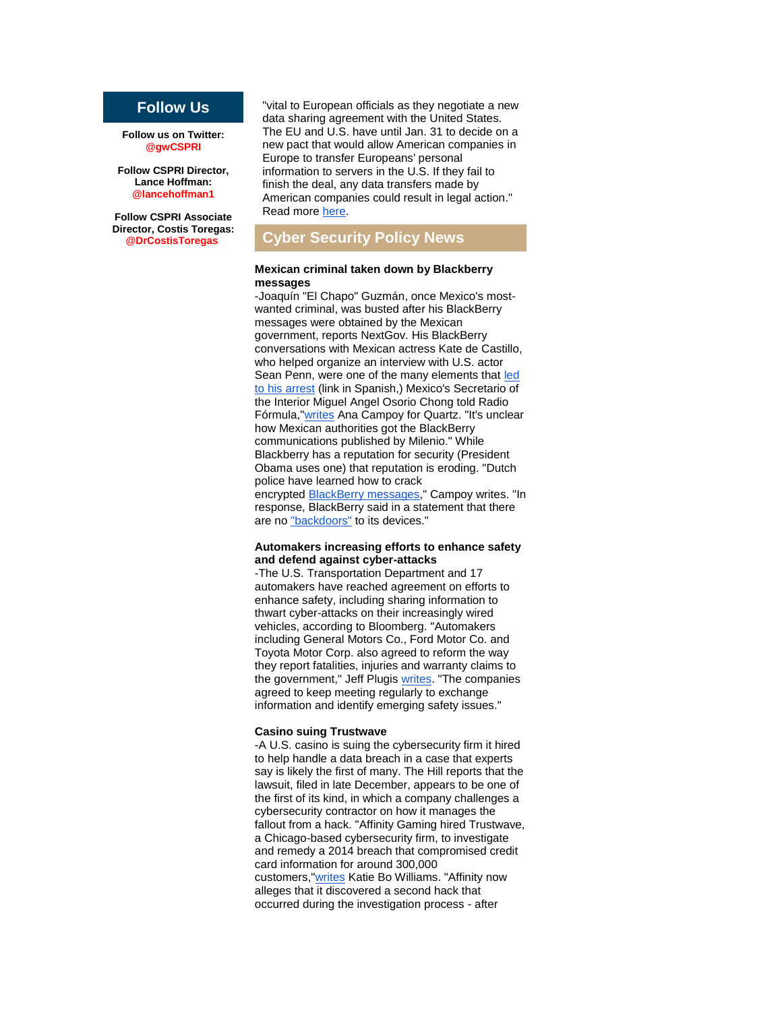#### **Follow Us**

**Follow us on Twitter: @gwCSPRI**

**Follow CSPRI Director, Lance Hoffman: @lancehoffman1**

**Follow CSPRI Associate Director, Costis Toregas: @DrCostisToregas**

"vital to European officials as they negotiate a new data sharing agreement with the United States. The EU and U.S. have until Jan. 31 to decide on a new pact that would allow American companies in Europe to transfer Europeans' personal information to servers in the U.S. If they fail to finish the deal, any data transfers made by American companies could result in legal action." Read more [here.](http://r20.rs6.net/tn.jsp?f=001MkV8x5XEqCAdKy9ZyoSbeHU18CbYo8k1S6MBHrYnw67OzHOUEfqosPfZn3JwrrzWCa46p4hrqFuS-4fL0mBfR3bN16FeOnrTEyjSEDlOu4GEx9E61u7l8rcKsnMJqzi4GhuEW9ogN61yPnz5YE1lUvd5cQkM2_M0hlm1SKpWGxk-d3ewIYHn8jGUyuKXgpppko6SU9PY3wAFRY3-uH--HAgwV8Kj51o5X-_amMZu8cNXhJwMLK0nDjip4I1Ql_Nq2PtS6J_Dv4BFLTAXrAhVvkCd8JSKIV3Cfx7MuAfty5MqSflqUvk-OV-rAM8oLgw2Ts6BbmhsNEHyleueYmsmU3WHXZeftjYTzqzRcKlye5T23Cd9cUgdDsiX24fLy8ro3h2ixbVdeUkSaR4Tba2JoJX1h42tt566HH1-EIUcZ70BYVDkpCG4foY7EOBHIo-vPIMhw-iePWc-SzP-yoGUvX-s2u7x5BG0II3bm3Nf4fvJnvK8bFc0y9TAKtOTzq8oul8e9N-l_b7E8IjXsvkjN34ciMsJFNiL-5Lp5UEU-u4=&c=8Vw1Se0x3Y57YFOiU7XlXtpps-i5MuNt2qeqSxmYg5Dp-acRO8sjMg==&ch=_joX3DyPGApIMR6jgbPfVvfup6p54tb3_jDTen51_RrvBCBWgYZEyQ==)

#### **Cyber Security Policy News**

#### **Mexican criminal taken down by Blackberry messages**

-Joaquín "El Chapo" Guzmán, once Mexico's mostwanted criminal, was busted after his BlackBerry messages were obtained by the Mexican government, reports NextGov. His BlackBerry conversations with Mexican actress Kate de Castillo, who helped organize an interview with U.S. actor Sean Penn, were one of the many elements that led [to his arrest](http://r20.rs6.net/tn.jsp?f=001MkV8x5XEqCAdKy9ZyoSbeHU18CbYo8k1S6MBHrYnw67OzHOUEfqosPfZn3JwrrzW5cDWVW5qte4xfTdihqgT1Q7CyCT-ekneew3mOiKD-T9PP0BQJcFDgFgALqON0rljj8Llick-viNHGmPcaTKLwWBKDF1puxoEVdNBxvhzo2ESfyLJHoGbymIxsvG0GLcOad9ZKO32lg4=&c=8Vw1Se0x3Y57YFOiU7XlXtpps-i5MuNt2qeqSxmYg5Dp-acRO8sjMg==&ch=_joX3DyPGApIMR6jgbPfVvfup6p54tb3_jDTen51_RrvBCBWgYZEyQ==) (link in Spanish,) Mexico's Secretario of the Interior Miguel Angel Osorio Chong told Radio Fórmula,["writes](http://r20.rs6.net/tn.jsp?f=001MkV8x5XEqCAdKy9ZyoSbeHU18CbYo8k1S6MBHrYnw67OzHOUEfqosPfZn3JwrrzW0Bn2lymbVuEPXr-3GkTdaH2vJ5ltIj1thp6-LTf4r5Vc9BcRbxlM2k1_l3Y2TYiru2vx3ZnUg5Vq94L0Oq2JJeUl19_UzDxQik7ZMyjSna7S3b70Zphf6JTrqw-OdqI3tTbAVImmROMa96PfGIIijANsd9a8KMgQg04PkErKVQS4t0uJ7N1zcs0LNSgh48FPGhFphtaqdEPe2zZ4-fCx9hmTby7DWbrNcCcVaP8uNk7ynAb3vtI4Vd4Mx8Gi8xgJ&c=8Vw1Se0x3Y57YFOiU7XlXtpps-i5MuNt2qeqSxmYg5Dp-acRO8sjMg==&ch=_joX3DyPGApIMR6jgbPfVvfup6p54tb3_jDTen51_RrvBCBWgYZEyQ==) Ana Campoy for Quartz. "It's unclear how Mexican authorities got the BlackBerry communications published by Milenio." While Blackberry has a reputation for security (President Obama uses one) that reputation is eroding. "Dutch police have learned how to crack encrypted **BlackBerry messages**," Campoy writes. "In response, BlackBerry said in a statement that there are no ["backdoors"](http://r20.rs6.net/tn.jsp?f=001MkV8x5XEqCAdKy9ZyoSbeHU18CbYo8k1S6MBHrYnw67OzHOUEfqosPfZn3JwrrzWX2TwWhFy-KRxUF7v2RqFK2t2UkYkgwMMFNP8EKc-1a4g2WKeg-O5wGSIXi4xXg40_HBCi82OeI2vDRQs3B7uQR9a2E6tgQbneK4Gj8MSHZMx7w-9ANW8zvNdDS_eEx26dZ1un2WowVMLK3gRgHmziWlbI6gZXaOl2xsc-mcIUzy8kaXXru7mdYE3-_e_l6QHTiVcl4ZUS4s=&c=8Vw1Se0x3Y57YFOiU7XlXtpps-i5MuNt2qeqSxmYg5Dp-acRO8sjMg==&ch=_joX3DyPGApIMR6jgbPfVvfup6p54tb3_jDTen51_RrvBCBWgYZEyQ==) to its devices."

#### **Automakers increasing efforts to enhance safety and defend against cyber-attacks**

-The U.S. Transportation Department and 17 automakers have reached agreement on efforts to enhance safety, including sharing information to thwart cyber-attacks on their increasingly wired vehicles, according to Bloomberg. "Automakers including General Motors Co., Ford Motor Co. and Toyota Motor Corp. also agreed to reform the way they report fatalities, injuries and warranty claims to the government," Jeff Plugis [writes.](http://r20.rs6.net/tn.jsp?f=001MkV8x5XEqCAdKy9ZyoSbeHU18CbYo8k1S6MBHrYnw67OzHOUEfqosPfZn3JwrrzWcPrx1cc8vCYbqDDEux9zSPCRDRNuHgKIrW684KEAUlY5NJGYkuxtQkpCbRGMQtVclSl0moe_NfIrydQCwl0vi-34Ci-6-aVTbBuK71gZ2f2ykyNrz38klMoo7QN8zmENHz22D16YNFGLq1nm60KHtIDaCy4EHhl50RSEs2WEuZjwkT39vzrlgCZM31v37gJbH9xXXx04GHIcs0jf_YLGm5ZUgl9Ho6ZbWAajAhAYxIfbFhpvwiT_o_Ni7FTQz8CoZ1RSXwWMF9ZoPpks9Sowb5-m8vvlnxsrI0GDntiGfdEJeKakukhEuBTDIjiVDJztApR-9uohVPjRUh395EpztZZ0X4YAepgzjjoxulzflEj22rqXxwW6ju5PY5nvxn0I_skRPZMWDEn0aM1LmRAYe5ufjRE4MPZXkx0GDMaQhW6Ndr-UZHVIjQYlCdvgbMIRfy2vnjT2s7yG8fu1uNZBkbuRskhKOj-6nqpP4FQtrIWLgbnz7aEqUg==&c=8Vw1Se0x3Y57YFOiU7XlXtpps-i5MuNt2qeqSxmYg5Dp-acRO8sjMg==&ch=_joX3DyPGApIMR6jgbPfVvfup6p54tb3_jDTen51_RrvBCBWgYZEyQ==) "The companies agreed to keep meeting regularly to exchange information and identify emerging safety issues."

#### **Casino suing Trustwave**

-A U.S. casino is suing the cybersecurity firm it hired to help handle a data breach in a case that experts say is likely the first of many. The Hill reports that the lawsuit, filed in late December, appears to be one of the first of its kind, in which a company challenges a cybersecurity contractor on how it manages the fallout from a hack. "Affinity Gaming hired Trustwave, a Chicago-based cybersecurity firm, to investigate and remedy a 2014 breach that compromised credit card information for around 300,000 customers,["writes](http://r20.rs6.net/tn.jsp?f=001MkV8x5XEqCAdKy9ZyoSbeHU18CbYo8k1S6MBHrYnw67OzHOUEfqosPfZn3JwrrzWcjD8dOSg4xpehXdydmnL1h0oS2ciD3ucOh3mawPTY-rxcDQXC8vUqzx0tly_eka59AZXMpAjTBXctkPTvfDzJfpwgpW5WwIZPxnbaQ0en1g4g6u9GdPTeG4ngV6gGCWI212MPwu35KvTI6DIIBqgmMiawfB_7A2ClhP8pX97uHMQhmSqwjc7um-9BAC7Bkdw&c=8Vw1Se0x3Y57YFOiU7XlXtpps-i5MuNt2qeqSxmYg5Dp-acRO8sjMg==&ch=_joX3DyPGApIMR6jgbPfVvfup6p54tb3_jDTen51_RrvBCBWgYZEyQ==) Katie Bo Williams. "Affinity now alleges that it discovered a second hack that occurred during the investigation process - after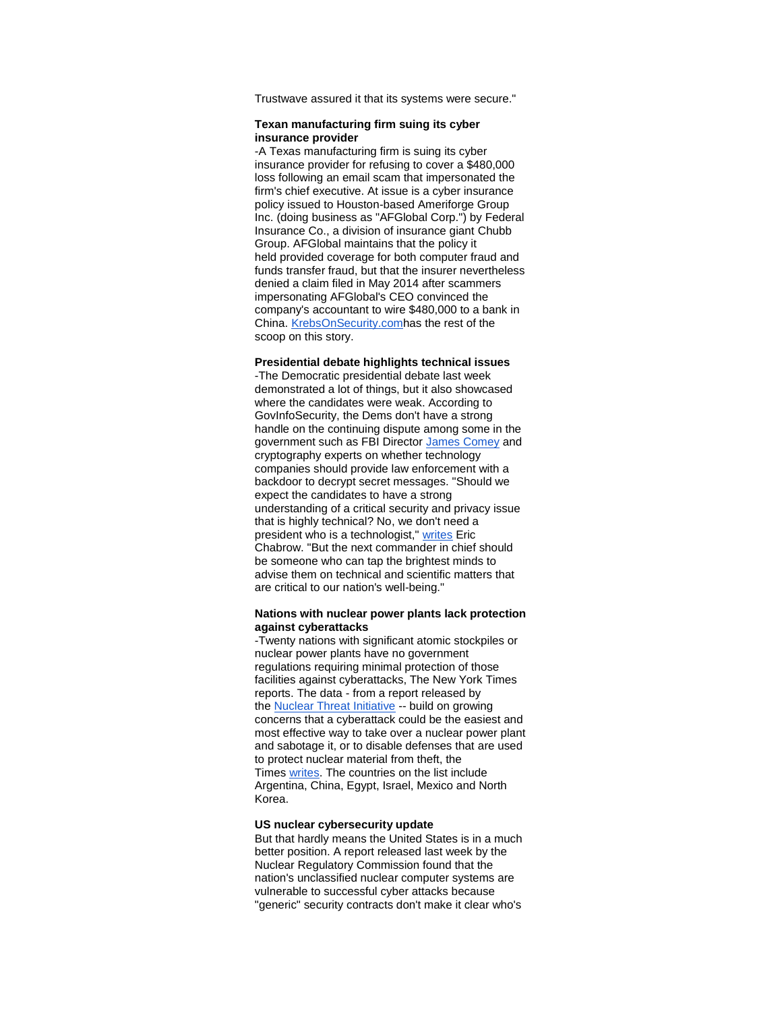Trustwave assured it that its systems were secure."

#### **Texan manufacturing firm suing its cyber insurance provider**

-A Texas manufacturing firm is suing its cyber insurance provider for refusing to cover a \$480,000 loss following an email scam that impersonated the firm's chief executive. At issue is a cyber insurance policy issued to Houston-based Ameriforge Group Inc. (doing business as "AFGlobal Corp.") by Federal Insurance Co., a division of insurance giant Chubb Group. AFGlobal maintains that the policy it held provided coverage for both computer fraud and funds transfer fraud, but that the insurer nevertheless denied a claim filed in May 2014 after scammers impersonating AFGlobal's CEO convinced the company's accountant to wire \$480,000 to a bank in China. [KrebsOnSecurity.comh](http://r20.rs6.net/tn.jsp?f=001MkV8x5XEqCAdKy9ZyoSbeHU18CbYo8k1S6MBHrYnw67OzHOUEfqosPfZn3JwrrzWxd52YTirCLOa1V-jYs-urZtovvco5-dBHEDp46R3LCIinmB4q4oM21_M6cepoIAKGrIaF1JZNf1WUHvWjjh8GcVwPUdRF8SYic-jurNUicDFp49a_1-LXk_o3jlReqhO_LK_8e5UREX_iReo3di5fJDMemLiQYlYsf3UhRBfX6C7WKUhpxZYyA==&c=8Vw1Se0x3Y57YFOiU7XlXtpps-i5MuNt2qeqSxmYg5Dp-acRO8sjMg==&ch=_joX3DyPGApIMR6jgbPfVvfup6p54tb3_jDTen51_RrvBCBWgYZEyQ==)as the rest of the scoop on this story.

#### **Presidential debate highlights technical issues**

-The Democratic presidential debate last week demonstrated a lot of things, but it also showcased where the candidates were weak. According to GovInfoSecurity, the Dems don't have a strong handle on the continuing dispute among some in the government such as FBI Director [James Comey](http://r20.rs6.net/tn.jsp?f=001MkV8x5XEqCAdKy9ZyoSbeHU18CbYo8k1S6MBHrYnw67OzHOUEfqosPfZn3JwrrzW7Bma5pID0jkO7sCdiFDxJ9VsDs08GJY0eC9p5sK5_ElWmJBFJa6pDk9Tb95ibIOPL0f7KzfbXPaWNxLkebvKMk4gz5tTmfMYhgf_xG2XXwVv9ajKgPg4edE-mDNw5ui6HJ54e8CDY15yZwJ2jU4atuDExXBprpUizxuZmrTn25_ez8kjJw0mvA==&c=8Vw1Se0x3Y57YFOiU7XlXtpps-i5MuNt2qeqSxmYg5Dp-acRO8sjMg==&ch=_joX3DyPGApIMR6jgbPfVvfup6p54tb3_jDTen51_RrvBCBWgYZEyQ==) and cryptography experts on whether technology companies should provide law enforcement with a backdoor to decrypt secret messages. "Should we expect the candidates to have a strong understanding of a critical security and privacy issue that is highly technical? No, we don't need a president who is a technologist," [writes](http://r20.rs6.net/tn.jsp?f=001MkV8x5XEqCAdKy9ZyoSbeHU18CbYo8k1S6MBHrYnw67OzHOUEfqosPfZn3JwrrzWkS5JZLgKyISzRbF9wh1a5ktmb8Hf7f5Q73EV88cd4TIDlfoEvwZoD0rvdmjD9Sw4IkUCTEQsNms-OwtkDG_waui467swpXkt9pnnr93INxx_m_bv8HtoWOa89KRx7XaeSBUok1WDdLjchPpqnGbF8nbggvFtdM5xv9wLGS6GxHHm2JiohIXtaSmrDi6MaKxi&c=8Vw1Se0x3Y57YFOiU7XlXtpps-i5MuNt2qeqSxmYg5Dp-acRO8sjMg==&ch=_joX3DyPGApIMR6jgbPfVvfup6p54tb3_jDTen51_RrvBCBWgYZEyQ==) Eric Chabrow. "But the next commander in chief should be someone who can tap the brightest minds to advise them on technical and scientific matters that are critical to our nation's well-being."

#### **Nations with nuclear power plants lack protection against cyberattacks**

-Twenty nations with significant atomic stockpiles or nuclear power plants have no government regulations requiring minimal protection of those facilities against cyberattacks, The New York Times reports. The data - from a report released by the **[Nuclear Threat Initiative](http://r20.rs6.net/tn.jsp?f=001MkV8x5XEqCAdKy9ZyoSbeHU18CbYo8k1S6MBHrYnw67OzHOUEfqosPfZn3JwrrzWnXsvOlCorKtyni6ok5iTN_wpba4Q7utLoq8jsLh5xEyXUrOxFMeFve61cV-rCyxQeUrabGdQgGLaLfAU-VIZk_J34LXjf3l3CwSfNmUxypA=&c=8Vw1Se0x3Y57YFOiU7XlXtpps-i5MuNt2qeqSxmYg5Dp-acRO8sjMg==&ch=_joX3DyPGApIMR6jgbPfVvfup6p54tb3_jDTen51_RrvBCBWgYZEyQ==)** -- build on growing concerns that a cyberattack could be the easiest and most effective way to take over a nuclear power plant and sabotage it, or to disable defenses that are used to protect nuclear material from theft, the Times [writes.](http://r20.rs6.net/tn.jsp?f=001MkV8x5XEqCAdKy9ZyoSbeHU18CbYo8k1S6MBHrYnw67OzHOUEfqosPfZn3JwrrzWSmrN5Jpid9OaBGwKdCHDKAiY6Yo4eSamFdhN_d_idWNZlv8RNf2j3p-V2HCP4vAB71jq8VvAQmBaM5bzz0MVXdYNvngnUiy-VrauGA7xb3H9Zo0QLb80UShR6MzCsw3droCrSsskBS9BohG3y8DK_uJSLiLxHBiQb3eUXWBkwE8J1HPw4bKNjr-7mtOPaYVpn32FZrcWv7FAQXzHTnmgcQ==&c=8Vw1Se0x3Y57YFOiU7XlXtpps-i5MuNt2qeqSxmYg5Dp-acRO8sjMg==&ch=_joX3DyPGApIMR6jgbPfVvfup6p54tb3_jDTen51_RrvBCBWgYZEyQ==) The countries on the list include Argentina, China, Egypt, Israel, Mexico and North Korea.

#### **US nuclear cybersecurity update**

But that hardly means the United States is in a much better position. A report released last week by the Nuclear Regulatory Commission found that the nation's unclassified nuclear computer systems are vulnerable to successful cyber attacks because "generic" security contracts don't make it clear who's